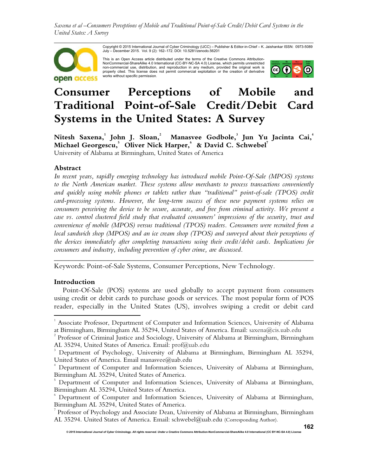*Saxena et al –Consumers Perceptions of Mobile and Traditional Point-of-Sale Credit/Debit Card Systems in the United States: A Survey* 



Copyright © 2015 International Journal of Cyber Criminology (IJCC) – Publisher & Editor-in-Chief – K. Jaishankar ISSN: 0973-5089<br>July – December 2015. Vol. 9 (2): 162–172. DOI: 10.5281/zenodo.56201

This is an Open Access article distributed under the terms of the Creative Commons Attribution-NonCommercial-ShareAlike 4.0 International (CC-BY-NC-SA 4.0) License, which permits unrestricted non-commercial use, distribution, and reproduction in any medium, provided the original work is<br>properly cited. This license does not permit commercial exploitation or the creation of derivative<br>works without specific perm



# **Consumer Perceptions of Mobile and Traditional Point-of-Sale Credit/Debit Card Systems in the United States: A Survey**

**Nitesh Saxena,<sup>1</sup> John J. Sloan,<sup>2</sup> Manasvee Godbole,<sup>3</sup> Jun Yu Jacinta Cai,<sup>4</sup> Michael Georgescu,<sup>5</sup> Oliver Nick Harper,<sup>6</sup> & David C. Schwebel<sup>7</sup>** University of Alabama at Birmingham, United States of America

# **Abstract**

*In recent years, rapidly emerging technology has introduced mobile Point-Of-Sale (MPOS) systems to the North American market. These systems allow merchants to process transactions conveniently and quickly using mobile phones or tablets rather than "traditional" point-of-sale (TPOS) credit card-processing systems. However, the long-term success of these new payment systems relies on consumers perceiving the device to be secure, accurate, and free from criminal activity. We present a case vs. control clustered field study that evaluated consumers' impressions of the security, trust and convenience of mobile (MPOS) versus traditional (TPOS) readers. Consumers were recruited from a local sandwich shop (MPOS) and an ice cream shop (TPOS) and surveyed about their perceptions of the devices immediately after completing transactions using their credit/debit cards. Implications for consumers and industry, including prevention of cyber crime, are discussed.* 

Keywords: Point-of-Sale Systems, Consumer Perceptions, New Technology.

## **Introduction**

l

Point-Of-Sale (POS) systems are used globally to accept payment from consumers using credit or debit cards to purchase goods or services. The most popular form of POS reader, especially in the United States (US), involves swiping a credit or debit card

*\_\_\_\_\_\_\_\_\_\_\_\_\_\_\_\_\_\_\_\_\_\_\_\_\_\_\_\_\_\_\_\_\_\_\_\_\_\_\_\_\_\_\_\_\_\_\_\_\_\_\_\_\_\_\_\_\_\_\_\_\_\_\_\_\_\_\_\_\_\_\_\_*

<sup>&</sup>lt;sup>1</sup> Associate Professor, Department of Computer and Information Sciences, University of Alabama at Birmingham, Birmingham AL 35294, United States of America. Email: saxena@cis.uab.edu

<sup>&</sup>lt;sup>2</sup> Professor of Criminal Justice and Sociology, University of Alabama at Birmingham, Birmingham AL 35294, United States of America. Email: prof@uab.edu

<sup>3</sup> Department of Psychology, University of Alabama at Birmingham, Birmingham AL 35294, United States of America. Email manasvee@uab.edu

<sup>4</sup> Department of Computer and Information Sciences, University of Alabama at Birmingham, Birmingham AL 35294, United States of America.

<sup>5</sup> Department of Computer and Information Sciences, University of Alabama at Birmingham, Birmingham AL 35294, United States of America.

<sup>6</sup> Department of Computer and Information Sciences, University of Alabama at Birmingham, Birmingham AL 35294, United States of America.

 $^7$  Professor of Psychology and Associate Dean, University of Alabama at Birmingham, Birmingham AL 35294. United States of America. Email: schwebel@uab.edu (Corresponding Author).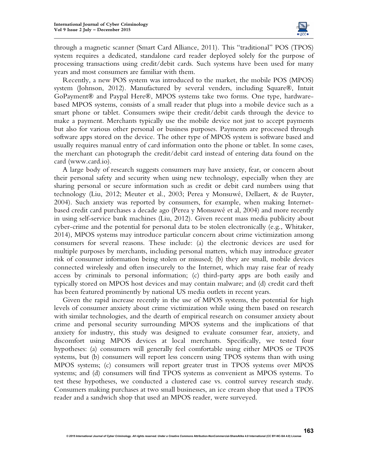

through a magnetic scanner (Smart Card Alliance, 2011). This "traditional" POS (TPOS) system requires a dedicated, standalone card reader deployed solely for the purpose of processing transactions using credit/debit cards. Such systems have been used for many years and most consumers are familiar with them.

Recently, a new POS system was introduced to the market, the mobile POS (MPOS) system (Johnson, 2012). Manufactured by several venders, including Square®, Intuit GoPayment® and Paypal Here®, MPOS systems take two forms. One type, hardwarebased MPOS systems, consists of a small reader that plugs into a mobile device such as a smart phone or tablet. Consumers swipe their credit/debit cards through the device to make a payment. Merchants typically use the mobile device not just to accept payments but also for various other personal or business purposes. Payments are processed through software apps stored on the device. The other type of MPOS system is software based and usually requires manual entry of card information onto the phone or tablet. In some cases, the merchant can photograph the credit/debit card instead of entering data found on the card (www.card.io).

A large body of research suggests consumers may have anxiety, fear, or concern about their personal safety and security when using new technology, especially when they are sharing personal or secure information such as credit or debit card numbers using that technology (Liu, 2012; Meuter et al., 2003; Perea y Monsuwé, Dellaert, & de Ruyter, 2004). Such anxiety was reported by consumers, for example, when making Internetbased credit card purchases a decade ago (Perea y Monsuwé et al, 2004) and more recently in using self-service bank machines (Liu, 2012). Given recent mass media publicity about cyber-crime and the potential for personal data to be stolen electronically (e.g., Whitaker, 2014), MPOS systems may introduce particular concern about crime victimization among consumers for several reasons. These include: (a) the electronic devices are used for multiple purposes by merchants, including personal matters, which may introduce greater risk of consumer information being stolen or misused; (b) they are small, mobile devices connected wirelessly and often insecurely to the Internet, which may raise fear of ready access by criminals to personal information; (c) third-party apps are both easily and typically stored on MPOS host devices and may contain malware; and (d) credit card theft has been featured prominently by national US media outlets in recent years.

Given the rapid increase recently in the use of MPOS systems, the potential for high levels of consumer anxiety about crime victimization while using them based on research with similar technologies, and the dearth of empirical research on consumer anxiety about crime and personal security surrounding MPOS systems and the implications of that anxiety for industry, this study was designed to evaluate consumer fear, anxiety, and discomfort using MPOS devices at local merchants. Specifically, we tested four hypotheses: (a) consumers will generally feel comfortable using either MPOS or TPOS systems, but (b) consumers will report less concern using TPOS systems than with using MPOS systems; (c) consumers will report greater trust in TPOS systems over MPOS systems; and (d) consumers will find TPOS systems as convenient as MPOS systems. To test these hypotheses, we conducted a clustered case vs. control survey research study. Consumers making purchases at two small businesses, an ice cream shop that used a TPOS reader and a sandwich shop that used an MPOS reader, were surveyed.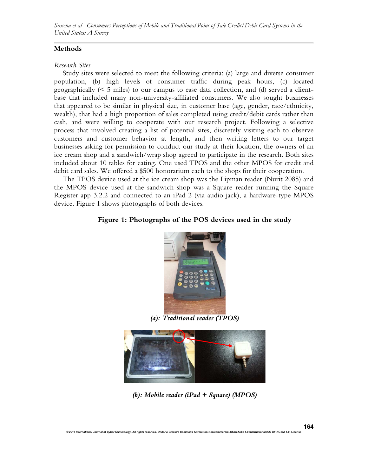*Saxena et al –Consumers Perceptions of Mobile and Traditional Point-of-Sale Credit/Debit Card Systems in the United States: A Survey* 

## **Methods**

#### *Research Sites*

Study sites were selected to meet the following criteria: (a) large and diverse consumer population, (b) high levels of consumer traffic during peak hours, (c) located geographically (< 5 miles) to our campus to ease data collection, and (d) served a clientbase that included many non-university-affiliated consumers. We also sought businesses that appeared to be similar in physical size, in customer base (age, gender, race/ethnicity, wealth), that had a high proportion of sales completed using credit/debit cards rather than cash, and were willing to cooperate with our research project. Following a selective process that involved creating a list of potential sites, discretely visiting each to observe customers and customer behavior at length, and then writing letters to our target businesses asking for permission to conduct our study at their location, the owners of an ice cream shop and a sandwich/wrap shop agreed to participate in the research. Both sites included about 10 tables for eating. One used TPOS and the other MPOS for credit and debit card sales. We offered a \$500 honorarium each to the shops for their cooperation.

The TPOS device used at the ice cream shop was the Lipman reader (Nurit 2085) and the MPOS device used at the sandwich shop was a Square reader running the Square Register app 3.2.2 and connected to an iPad 2 (via audio jack), a hardware-type MPOS device. Figure 1 shows photographs of both devices.

## **Figure 1: Photographs of the POS devices used in the study**



*(a): Traditional reader (TPOS)* 



*(b): Mobile reader (iPad + Square) (MPOS)*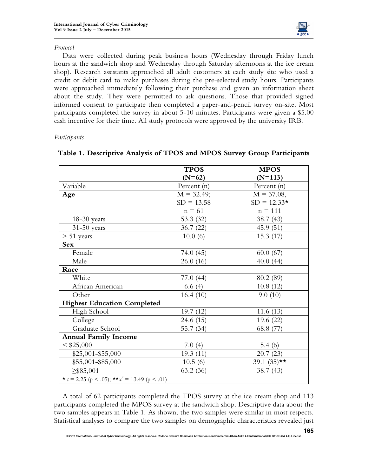

# *Protocol*

Data were collected during peak business hours (Wednesday through Friday lunch hours at the sandwich shop and Wednesday through Saturday afternoons at the ice cream shop). Research assistants approached all adult customers at each study site who used a credit or debit card to make purchases during the pre-selected study hours. Participants were approached immediately following their purchase and given an information sheet about the study. They were permitted to ask questions. Those that provided signed informed consent to participate then completed a paper-and-pencil survey on-site. Most participants completed the survey in about 5-10 minutes. Participants were given a \$5.00 cash incentive for their time. All study protocols were approved by the university IRB.

*Participants*

|                                                    | <b>TPOS</b>   | <b>MPOS</b>   |  |  |  |  |  |
|----------------------------------------------------|---------------|---------------|--|--|--|--|--|
|                                                    | $(N=62)$      | $(N=113)$     |  |  |  |  |  |
| Variable                                           | Percent (n)   | Percent (n)   |  |  |  |  |  |
| Age                                                | $M = 32.49$ ; | $M = 37.08$ , |  |  |  |  |  |
|                                                    | $SD = 13.58$  | $SD = 12.33*$ |  |  |  |  |  |
|                                                    | $n = 61$      | $n = 111$     |  |  |  |  |  |
| $18-30$ years                                      | 53.3 (32)     | 38.7 (43)     |  |  |  |  |  |
| $31-50$ years                                      | 36.7(22)      | 45.9(51)      |  |  |  |  |  |
| $> 51$ years                                       | 10.0(6)       | 15.3(17)      |  |  |  |  |  |
| <b>Sex</b>                                         |               |               |  |  |  |  |  |
| Female                                             | 74.0 (45)     | 60.0(67)      |  |  |  |  |  |
| Male                                               | 26.0(16)      | 40.0(44)      |  |  |  |  |  |
| Race                                               |               |               |  |  |  |  |  |
| White                                              | 77.0(44)      | 80.2 (89)     |  |  |  |  |  |
| African American                                   | 6.6(4)        | 10.8(12)      |  |  |  |  |  |
| Other                                              | 16.4(10)      | 9.0(10)       |  |  |  |  |  |
| <b>Highest Education Completed</b>                 |               |               |  |  |  |  |  |
| High School                                        | 19.7(12)      | 11.6(13)      |  |  |  |  |  |
| College                                            | 24.6(15)      | 19.6(22)      |  |  |  |  |  |
| Graduate School                                    | 55.7 (34)     | 68.8 (77)     |  |  |  |  |  |
| <b>Annual Family Income</b>                        |               |               |  |  |  |  |  |
| $<$ \$25,000                                       | 7.0(4)        | 5.4 $(6)$     |  |  |  |  |  |
| $$25,001 - $55,000$                                | 19.3(11)      | 20.7(23)      |  |  |  |  |  |
| \$55,001-\$85,000                                  | 10.5(6)       | 39.1 $(35)**$ |  |  |  |  |  |
| $\geq$ \$85,001                                    | 63.2(36)      | 38.7 (43)     |  |  |  |  |  |
| * $t = 2.25$ (p < .05); ** $x^2 = 13.49$ (p < .01) |               |               |  |  |  |  |  |

# **Table 1. Descriptive Analysis of TPOS and MPOS Survey Group Participants**

A total of 62 participants completed the TPOS survey at the ice cream shop and 113 participants completed the MPOS survey at the sandwich shop. Descriptive data about the two samples appears in Table 1. As shown, the two samples were similar in most respects. Statistical analyses to compare the two samples on demographic characteristics revealed just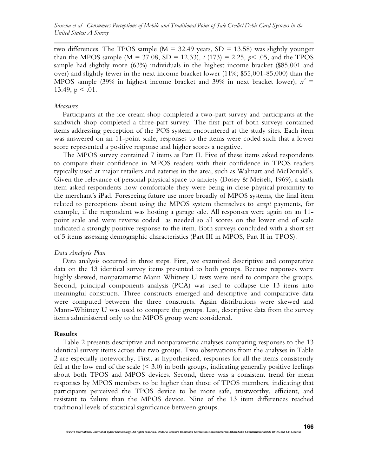two differences. The TPOS sample ( $M = 32.49$  years, SD = 13.58) was slightly younger than the MPOS sample ( $M = 37.08$ ,  $SD = 12.33$ ),  $t(173) = 2.25$ ,  $p \le .05$ , and the TPOS sample had slightly more (63%) individuals in the highest income bracket (\$85,001 and over) and slightly fewer in the next income bracket lower (11%; \$55,001-85,000) than the MPOS sample (39% in highest income bracket and 39% in next bracket lower),  $x^2 =$ 13.49,  $p < .01$ .

#### *Measures*

Participants at the ice cream shop completed a two-part survey and participants at the sandwich shop completed a three-part survey. The first part of both surveys contained items addressing perception of the POS system encountered at the study sites. Each item was answered on an 11-point scale, responses to the items were coded such that a lower score represented a positive response and higher scores a negative.

The MPOS survey contained 7 items as Part II. Five of these items asked respondents to compare their confidence in MPOS readers with their confidence in TPOS readers typically used at major retailers and eateries in the area, such as Walmart and McDonald's. Given the relevance of personal physical space to anxiety (Dosey & Meisels, 1969), a sixth item asked respondents how comfortable they were being in close physical proximity to the merchant's iPad. Foreseeing future use more broadly of MPOS systems, the final item related to perceptions about using the MPOS system themselves to *accept* payments, for example, if the respondent was hosting a garage sale. All responses were again on an 11 point scale and were reverse coded as needed so all scores on the lower end of scale indicated a strongly positive response to the item. Both surveys concluded with a short set of 5 items assessing demographic characteristics (Part III in MPOS, Part II in TPOS).

## *Data Analysis Plan*

Data analysis occurred in three steps. First, we examined descriptive and comparative data on the 13 identical survey items presented to both groups. Because responses were highly skewed, nonparametric Mann-Whitney U tests were used to compare the groups. Second, principal components analysis (PCA) was used to collapse the 13 items into meaningful constructs. Three constructs emerged and descriptive and comparative data were computed between the three constructs. Again distributions were skewed and Mann-Whitney U was used to compare the groups. Last, descriptive data from the survey items administered only to the MPOS group were considered.

#### **Results**

Table 2 presents descriptive and nonparametric analyses comparing responses to the 13 identical survey items across the two groups. Two observations from the analyses in Table 2 are especially noteworthy. First, as hypothesized, responses for all the items consistently fell at the low end of the scale  $($  < 3.0) in both groups, indicating generally positive feelings about both TPOS and MPOS devices. Second, there was a consistent trend for mean responses by MPOS members to be higher than those of TPOS members, indicating that participants perceived the TPOS device to be more safe, trustworthy, efficient, and resistant to failure than the MPOS device. Nine of the 13 item differences reached traditional levels of statistical significance between groups.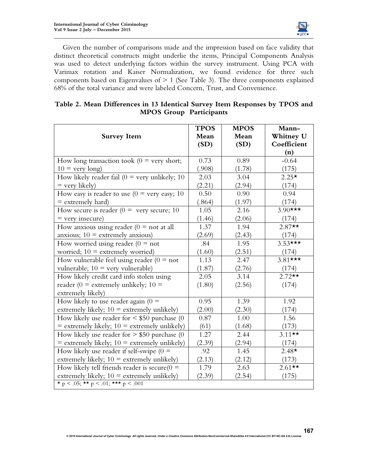

Given the number of comparisons made and the impression based on face validity that distinct theoretical constructs might underlie the items, Principal Components Analysis was used to detect underlying factors within the survey instrument. Using PCA with Varimax rotation and Kaiser Normalization, we found evidence for three such components based on Eigenvalues of > 1 (See Table 3). The three components explained 68% of the total variance and were labeled Concern, Trust, and Convenience.

|  | Table 2. Mean Differences in 13 Identical Survey Item Responses by TPOS and |                                |  |  |  |
|--|-----------------------------------------------------------------------------|--------------------------------|--|--|--|
|  |                                                                             | <b>MPOS Group Participants</b> |  |  |  |

| <b>Survey Item</b>                                     | <b>TPOS</b><br>Mean<br>(SD) | <b>MPOS</b><br>Mean<br>(SD) | Mann-<br>Whitney U<br>Coefficient<br>(n) |
|--------------------------------------------------------|-----------------------------|-----------------------------|------------------------------------------|
| How long transaction took ( $0 =$ very short;          | 0.73                        | 0.89                        | $-0.64$                                  |
| $10 = \text{very long}$                                | (.908)                      | (1.78)                      | (175)                                    |
| How likely reader fail ( $0 =$ very unlikely; 10       | 2.03                        | 3.04                        | $2.25*$                                  |
| $=$ very likely)                                       | (2.21)                      | (2.94)                      | (174)                                    |
| How easy is reader to use $(0 = \text{very easy}; 10)$ | 0.50                        | 0.90                        | 0.94                                     |
| $=$ extremely hard)                                    | (.864)                      | (1.97)                      | (174)                                    |
| How secure is reader ( $0 =$ very secure; 10           | 1.05                        | 2.16                        | $3.90***$                                |
| $=$ very insecure)                                     | (1.46)                      | (2.06)                      | (174)                                    |
| How anxious using reader ( $0 =$ not at all            | 1.37                        | 1.94                        | $2.87**$                                 |
| anxious; $10 =$ extremely anxious)                     | (2.69)                      | (2.43)                      | (174)                                    |
| How worried using reader ( $0 = not$                   | .84                         | 1.95                        | $3.53***$                                |
| worried; $10$ = extremely worried)                     | (1.60)                      | (2.51)                      | (174)                                    |
| How vulnerable feel using reader ( $0 = not$           | 1.13                        | 2.47                        | $3.81***$                                |
| vulnerable; $10 =$ very vulnerable)                    | (1.87)                      | (2.76)                      | (174)                                    |
| How likely credit card info stolen using               | 2.05                        | 3.14                        | $2.72**$                                 |
| reader (0 = extremely unlikely; $10 =$                 | (1.80)                      | (2.56)                      | (174)                                    |
| extremely likely)                                      |                             |                             |                                          |
| How likely to use reader again ( $0 =$                 | 0.95                        | 1.39                        | 1.92                                     |
| extremely likely; $10 =$ extremely unlikely)           | (2.00)                      | (2.30)                      | (174)                                    |
| How likely use reader for $\lt$ \$50 purchase (0       | 0.87                        | 1.00                        | 1.56                                     |
| $=$ extremely likely; $10 =$ extremely unlikely)       | (61)                        | (1.68)                      | (173)                                    |
| How likely use reader for $> $50$ purchase (0)         | 1.27                        | 2.44                        | $3.11**$                                 |
| $=$ extremely likely; $10 =$ extremely unlikely)       | (2.39)                      | (2.94)                      | (174)                                    |
| How likely use reader if self-swipe $(0 =$             | .92                         | 1.45                        | $2.48*$                                  |
| extremely likely; $10 =$ extremely unlikely)           | (2.13)                      | (2.12)                      | (173)                                    |
| How likely tell friends reader is secure( $0 =$        | 1.79                        | 2.63                        | $2.61**$                                 |
| extremely likely; $10 =$ extremely unlikely)           | (2.39)                      | (2.54)                      | (175)                                    |
| * p < .05; ** p < .01; *** p < .001                    |                             |                             |                                          |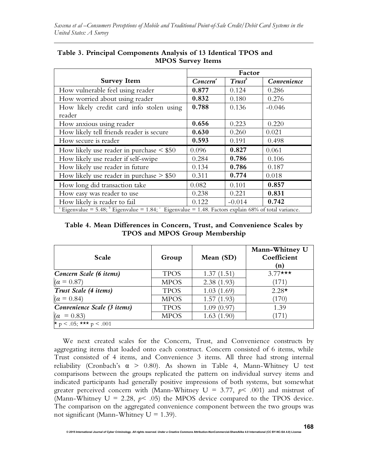|                                                                                                          | Factor               |                    |             |  |
|----------------------------------------------------------------------------------------------------------|----------------------|--------------------|-------------|--|
| <b>Survey Item</b>                                                                                       | Concern <sup>ª</sup> | Trust <sup>b</sup> | Convenience |  |
| How vulnerable feel using reader                                                                         | 0.877                | 0.124              | 0.286       |  |
| How worried about using reader                                                                           | 0.832                | 0.180              | 0.276       |  |
| How likely credit card info stolen using                                                                 | 0.788                | 0.136              | $-0.046$    |  |
| reader                                                                                                   |                      |                    |             |  |
| How anxious using reader                                                                                 | 0.656                | 0.223              | 0.220       |  |
| How likely tell friends reader is secure                                                                 | 0.630                | 0.260              | 0.021       |  |
| How secure is reader                                                                                     | 0.593                | 0.191              | 0.498       |  |
| How likely use reader in purchase $\leq$ \$50                                                            | 0.096                | 0.827              | 0.061       |  |
| How likely use reader if self-swipe                                                                      | 0.284                | 0.786              | 0.106       |  |
| How likely use reader in future                                                                          | 0.134                | 0.786              | 0.187       |  |
| How likely use reader in purchase $> $50$                                                                | 0.311                | 0.774              | 0.018       |  |
| How long did transaction take                                                                            | 0.082                | 0.101              | 0.857       |  |
| How easy was reader to use                                                                               | 0.238                | 0.221              | 0.831       |  |
| How likely is reader to fail                                                                             | 0.122                | $-0.014$           | 0.742       |  |
| Eigenvalue = $5.48$ ; Eigenvalue = $1.84$ ; Eigenvalue = $1.48$ . Factors explain 68% of total variance. |                      |                    |             |  |

# **MPOS Survey Items Table 3. Principal Components Analysis of 13 Identical TPOS and**

**Table 4. Mean Differences in Concern, Trust, and Convenience Scales by TPOS and MPOS Group Membership** 

| Scale                         | Group       | Mean (SD)  | Mann-Whitney U<br>Coefficient<br>(n) |
|-------------------------------|-------------|------------|--------------------------------------|
| Concern Scale (6 items)       | <b>TPOS</b> | 1.37(1.51) | $3.77***$                            |
| $(\alpha = 0.87)$             | <b>MPOS</b> | 2.38(1.93) | (171)                                |
| Trust Scale (4 items)         | <b>TPOS</b> | 1.03(1.69) | $2.28*$                              |
| $(\alpha = 0.84)$             | <b>MPOS</b> | 1.57(1.93) | (170)                                |
| Convenience Scale (3 items)   | <b>TPOS</b> | 1.09(0.97) | 1.39                                 |
| $(\alpha = 0.83)$             | <b>MPOS</b> | 1.63(1.90) | (171)                                |
| $\star p$ < .05; *** p < .001 |             |            |                                      |

We next created scales for the Concern, Trust, and Convenience constructs by aggregating items that loaded onto each construct. Concern consisted of 6 items, while Trust consisted of 4 items, and Convenience 3 items. All three had strong internal reliability (Cronbach's  $\alpha$  > 0.80). As shown in Table 4, Mann-Whitney U test comparisons between the groups replicated the pattern on individual survey items and indicated participants had generally positive impressions of both systems, but somewhat greater perceived concern with (Mann-Whitney  $U = 3.77$ ,  $p < .001$ ) and mistrust of (Mann-Whitney  $U = 2.28$ ,  $p \le 0.05$ ) the MPOS device compared to the TPOS device. The comparison on the aggregated convenience component between the two groups was not significant (Mann-Whitney  $U = 1.39$ ).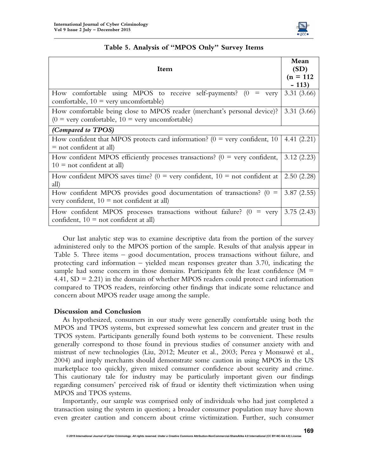

| Item                                                                                                                                        |            |  |  |
|---------------------------------------------------------------------------------------------------------------------------------------------|------------|--|--|
| How comfortable using MPOS to receive self-payments? (0<br>$=$ very<br>comfortable, $10 = \text{very unconfortable}$                        | 3.31(3.66) |  |  |
| How comfortable being close to MPOS reader (merchant's personal device)?<br>$(0 = \text{very comfortable}, 10 = \text{very unconfortable})$ | 3.31(3.66) |  |  |
| (Compared to TPOS)                                                                                                                          |            |  |  |
| How confident that MPOS protects card information? ( $0 =$ very confident, 10<br>$=$ not confident at all)                                  |            |  |  |
| How confident MPOS efficiently processes transactions? ( $0 =$ very confident,<br>$10 =$ not confident at all)                              |            |  |  |
| How confident MPOS saves time? ( $0 = \text{very confident}$ , $10 = \text{not confident}$ at<br>all)                                       | 2.50(2.28) |  |  |
| How confident MPOS provides good documentation of transactions? ( $0 =$<br>very confident, $10 =$ not confident at all)                     |            |  |  |
| How confident MPOS processes transactions without failure? ( $0 = \text{very}$ )<br>confident, $10 = not confident$ at all)                 | 3.75(2.43) |  |  |

# **Table 5. Analysis of "MPOS Only" Survey Items**

Our last analytic step was to examine descriptive data from the portion of the survey administered only to the MPOS portion of the sample. Results of that analysis appear in Table 5. Three items – good documentation, process transactions without failure, and protecting card information – yielded mean responses greater than 3.70, indicating the sample had some concern in those domains. Participants felt the least confidence ( $M =$ 4.41,  $SD = 2.21$  in the domain of whether MPOS readers could protect card information compared to TPOS readers, reinforcing other findings that indicate some reluctance and concern about MPOS reader usage among the sample.

## **Discussion and Conclusion**

As hypothesized, consumers in our study were generally comfortable using both the MPOS and TPOS systems, but expressed somewhat less concern and greater trust in the TPOS system. Participants generally found both systems to be convenient. These results generally correspond to those found in previous studies of consumer anxiety with and mistrust of new technologies (Liu, 2012; Meuter et al., 2003; Perea y Monsuwé et al., 2004) and imply merchants should demonstrate some caution in using MPOS in the US marketplace too quickly, given mixed consumer confidence about security and crime. This cautionary tale for industry may be particularly important given our findings regarding consumers' perceived risk of fraud or identity theft victimization when using MPOS and TPOS systems.

Importantly, our sample was comprised only of individuals who had just completed a transaction using the system in question; a broader consumer population may have shown even greater caution and concern about crime victimization. Further, such consumer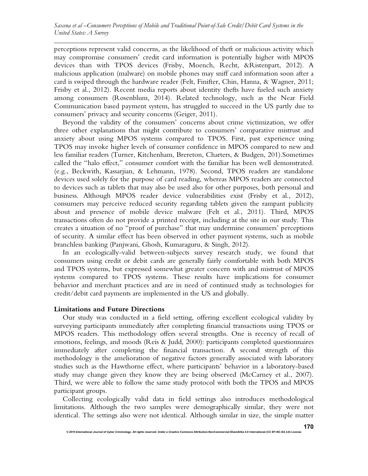perceptions represent valid concerns, as the likelihood of theft or malicious activity which may compromise consumers' credit card information is potentially higher with MPOS devices than with TPOS devices (Frisby, Moench, Recht, &Ristenpart, 2012). A malicious application (malware) on mobile phones may sniff card information soon after a card is swiped through the hardware reader (Felt, Finifter, Chin, Hanna, & Wagner, 2011; Frisby et al., 2012). Recent media reports about identity thefts have fueled such anxiety among consumers (Rosenblum, 2014). Related technology, such as the Near Field Communication based payment system, has struggled to succeed in the US partly due to consumers' privacy and security concerns (Geiger, 2011).

Beyond the validity of the consumers' concerns about crime victimization, we offer three other explanations that might contribute to consumers' comparative mistrust and anxiety about using MPOS systems compared to TPOS. First, past experience using TPOS may invoke higher levels of consumer confidence in MPOS compared to new and less familiar readers (Turner, Kitchenham, Brereton, Charters, & Budgen, 201).Sometimes called the "halo effect," consumer comfort with the familiar has been well demonstrated. (e.g., Beckwith, Kassarjian, & Lehmann, 1978). Second, TPOS readers are standalone devices used solely for the purpose of card reading, whereas MPOS readers are connected to devices such as tablets that may also be used also for other purposes, both personal and business. Although MPOS reader device vulnerabilities exist (Frisby et al., 2012), consumers may perceive reduced security regarding tablets given the rampant publicity about and presence of mobile device malware (Felt et al., 2011). Third, MPOS transactions often do not provide a printed receipt, including at the site in our study. This creates a situation of no "proof of purchase" that may undermine consumers' perceptions of security. A similar effect has been observed in other payment systems, such as mobile branchless banking (Panjwani, Ghosh, Kumaraguru, & Singh, 2012).

In an ecologically-valid between-subjects survey research study, we found that consumers using credit or debit cards are generally fairly comfortable with both MPOS and TPOS systems, but expressed somewhat greater concern with and mistrust of MPOS systems compared to TPOS systems. These results have implications for consumer behavior and merchant practices and are in need of continued study as technologies for credit/debit card payments are implemented in the US and globally.

## **Limitations and Future Directions**

Our study was conducted in a field setting, offering excellent ecological validity by surveying participants immediately after completing financial transactions using TPOS or MPOS readers. This methodology offers several strengths. One is recency of recall of emotions, feelings, and moods (Reis & Judd, 2000): participants completed questionnaires immediately after completing the financial transaction. A second strength of this methodology is the amelioration of negative factors generally associated with laboratory studies such as the Hawthorne effect, where participants' behavior in a laboratory-based study may change given they know they are being observed (McCarney et al., 2007). Third, we were able to follow the same study protocol with both the TPOS and MPOS participant groups.

Collecting ecologically valid data in field settings also introduces methodological limitations. Although the two samples were demographically similar, they were not identical. The settings also were not identical. Although similar in size, the simple matter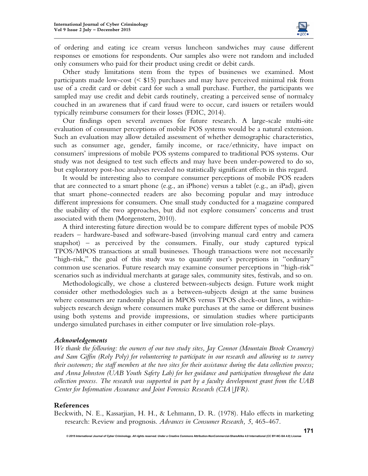

of ordering and eating ice cream versus luncheon sandwiches may cause different responses or emotions for respondents. Our samples also were not random and included only consumers who paid for their product using credit or debit cards.

Other study limitations stem from the types of businesses we examined. Most participants made low-cost  $(5, 15)$  purchases and may have perceived minimal risk from use of a credit card or debit card for such a small purchase. Further, the participants we sampled may use credit and debit cards routinely, creating a perceived sense of normalcy couched in an awareness that if card fraud were to occur, card issuers or retailers would typically reimburse consumers for their losses (FDIC, 2014).

Our findings open several avenues for future research. A large-scale multi-site evaluation of consumer perceptions of mobile POS systems would be a natural extension. Such an evaluation may allow detailed assessment of whether demographic characteristics, such as consumer age, gender, family income, or race/ethnicity, have impact on consumers' impressions of mobile POS systems compared to traditional POS systems. Our study was not designed to test such effects and may have been under-powered to do so, but exploratory post-hoc analyses revealed no statistically significant effects in this regard.

It would be interesting also to compare consumer perceptions of mobile POS readers that are connected to a smart phone (e.g., an iPhone) versus a tablet (e.g., an iPad), given that smart phone-connected readers are also becoming popular and may introduce different impressions for consumers. One small study conducted for a magazine compared the usability of the two approaches, but did not explore consumers' concerns and trust associated with them (Morgenstern, 2010).

A third interesting future direction would be to compare different types of mobile POS readers – hardware-based and software-based (involving manual card entry and camera snapshot) – as perceived by the consumers. Finally, our study captured typical TPOS/MPOS transactions at small businesses. Though transactions were not necessarily "high-risk," the goal of this study was to quantify user's perceptions in "ordinary" common use scenarios. Future research may examine consumer perceptions in "high-risk" scenarios such as individual merchants at garage sales, community sites, festivals, and so on.

Methodologically, we chose a clustered between-subjects design. Future work might consider other methodologies such as a between-subjects design at the same business where consumers are randomly placed in MPOS versus TPOS check-out lines, a withinsubjects research design where consumers make purchases at the same or different business using both systems and provide impressions, or simulation studies where participants undergo simulated purchases in either computer or live simulation role-plays.

#### *Acknowledgements*

*We thank the following: the owners of our two study sites, Jay Connor (Mountain Brook Creamery) and Sam Giffin (Roly Poly) for volunteering to participate in our research and allowing us to survey their customers; the staff members at the two sites for their assistance during the data collection process; and Anna Johnston (UAB Youth Safety Lab) for her guidance and participation throughout the data collection process. The research was supported in part by a faculty development grant from the UAB Center for Information Assurance and Joint Forensics Research (CIA|JFR).* 

#### **References**

Beckwith, N. E., Kassarjian, H. H., & Lehmann, D. R. (1978). Halo effects in marketing research: Review and prognosis. *Advances in Consumer Research, 5*, 465-467.